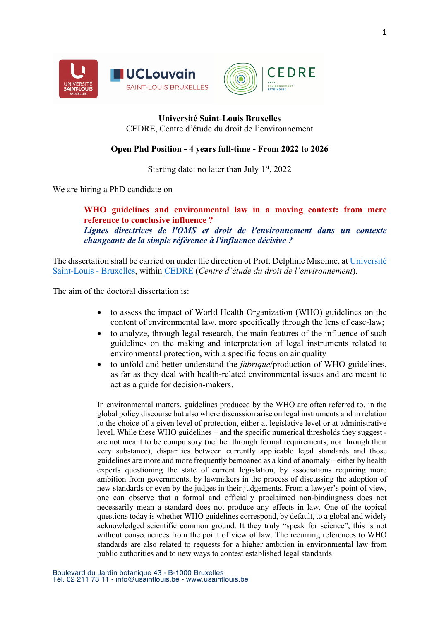



## **Université Saint-Louis Bruxelles** CEDRE, Centre d'étude du droit de l'environnement

## **Open Phd Position - 4 years full-time - From 2022 to 2026**

Starting date: no later than July  $1<sup>st</sup>$ , 2022

We are hiring a PhD candidate on

**WHO guidelines and environmental law in a moving context: from mere reference to conclusive influence ?** *Lignes directrices de l'OMS et droit de l'environnement dans un contexte changeant: de la simple référence à l'influence décisive ?*

The dissertation shall be carried on under the direction of Prof. Delphine Misonne, at Université Saint-Louis - Bruxelles, within CEDRE (*Centre d'étude du droit de l'environnement*).

The aim of the doctoral dissertation is:

- to assess the impact of World Health Organization (WHO) guidelines on the content of environmental law, more specifically through the lens of case-law;
- to analyze, through legal research, the main features of the influence of such guidelines on the making and interpretation of legal instruments related to environmental protection, with a specific focus on air quality
- to unfold and better understand the *fabrique*/production of WHO guidelines, as far as they deal with health-related environmental issues and are meant to act as a guide for decision-makers.

In environmental matters, guidelines produced by the WHO are often referred to, in the global policy discourse but also where discussion arise on legal instruments and in relation to the choice of a given level of protection, either at legislative level or at administrative level. While these WHO guidelines – and the specific numerical thresholds they suggest are not meant to be compulsory (neither through formal requirements, nor through their very substance), disparities between currently applicable legal standards and those guidelines are more and more frequently bemoaned as a kind of anomaly – either by health experts questioning the state of current legislation, by associations requiring more ambition from governments, by lawmakers in the process of discussing the adoption of new standards or even by the judges in their judgements. From a lawyer's point of view, one can observe that a formal and officially proclaimed non-bindingness does not necessarily mean a standard does not produce any effects in law. One of the topical questions today is whether WHO guidelines correspond, by default, to a global and widely acknowledged scientific common ground. It they truly "speak for science", this is not without consequences from the point of view of law. The recurring references to WHO standards are also related to requests for a higher ambition in environmental law from public authorities and to new ways to contest established legal standards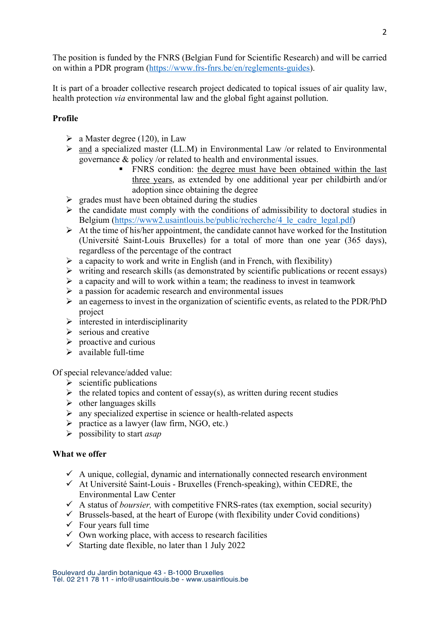The position is funded by the FNRS (Belgian Fund for Scientific Research) and will be carried on within a PDR program (https://www.frs-fnrs.be/en/reglements-guides).

It is part of a broader collective research project dedicated to topical issues of air quality law, health protection *via* environmental law and the global fight against pollution.

# **Profile**

- $\triangleright$  a Master degree (120), in Law
- $\triangleright$  and a specialized master (LL.M) in Environmental Law /or related to Environmental governance & policy /or related to health and environmental issues.
	- " FNRS condition: the degree must have been obtained within the last three years, as extended by one additional year per childbirth and/or adoption since obtaining the degree
- $\triangleright$  grades must have been obtained during the studies
- $\triangleright$  the candidate must comply with the conditions of admissibility to doctoral studies in Belgium (https://www2.usaintlouis.be/public/recherche/4 le cadre legal.pdf)
- $\triangleright$  At the time of his/her appointment, the candidate cannot have worked for the Institution (Université Saint-Louis Bruxelles) for a total of more than one year (365 days), regardless of the percentage of the contract
- $\triangleright$  a capacity to work and write in English (and in French, with flexibility)
- $\triangleright$  writing and research skills (as demonstrated by scientific publications or recent essays)
- $\triangleright$  a capacity and will to work within a team; the readiness to invest in teamwork
- $\triangleright$  a passion for academic research and environmental issues
- $\triangleright$  an eagerness to invest in the organization of scientific events, as related to the PDR/PhD project
- $\triangleright$  interested in interdisciplinarity
- $\triangleright$  serious and creative
- $\triangleright$  proactive and curious
- $\triangleright$  available full-time

Of special relevance/added value:

- $\triangleright$  scientific publications
- $\triangleright$  the related topics and content of essay(s), as written during recent studies
- $\triangleright$  other languages skills
- $\triangleright$  any specialized expertise in science or health-related aspects
- $\triangleright$  practice as a lawyer (law firm, NGO, etc.)
- ! possibility to start *asap*

#### **What we offer**

- $\checkmark$  A unique, collegial, dynamic and internationally connected research environment
- $\checkmark$  At Université Saint-Louis Bruxelles (French-speaking), within CEDRE, the Environmental Law Center
- $\checkmark$  A status of *boursier*, with competitive FNRS-rates (tax exemption, social security)
- $\checkmark$  Brussels-based, at the heart of Europe (with flexibility under Covid conditions)
- $\checkmark$  Four years full time
- $\checkmark$  Own working place, with access to research facilities
- $\checkmark$  Starting date flexible, no later than 1 July 2022